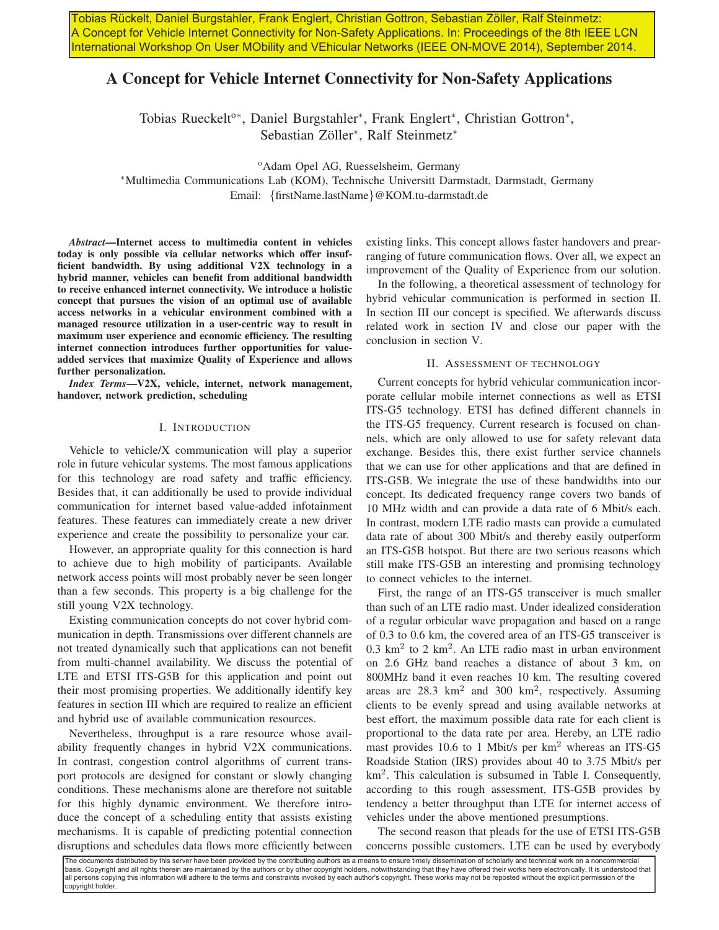Tobias Rückelt, Daniel Burgstahler, Frank Englert, Christian Gottron, Sebastian Zöller, Ralf Steinmetz: A Concept for Vehicle Internet Connectivity for Non-Safety Applications. In: Proceedings of the 8th IEEE LCN International Workshop On User MObility and VEhicular Networks (IEEE ON-MOVE 2014), September 2014.

# A Concept for Vehicle Internet Connectivity for Non-Safety Applications

Tobias Rueckelt<sup>o\*</sup>, Daniel Burgstahler<sup>\*</sup>, Frank Englert<sup>\*</sup>, Christian Gottron<sup>\*</sup>, Sebastian Zöller\*, Ralf Steinmetz\*

<sup>o</sup>Adam Opel AG, Ruesselsheim, Germany

<sup>∗</sup>Multimedia Communications Lab (KOM), Technische Universitt Darmstadt, Darmstadt, Germany Email: {firstName.lastName}@KOM.tu-darmstadt.de

*Abstract*—Internet access to multimedia content in vehicles today is only possible via cellular networks which offer insufficient bandwidth. By using additional V2X technology in a hybrid manner, vehicles can benefit from additional bandwidth to receive enhanced internet connectivity. We introduce a holistic concept that pursues the vision of an optimal use of available access networks in a vehicular environment combined with a managed resource utilization in a user-centric way to result in maximum user experience and economic efficiency. The resulting internet connection introduces further opportunities for valueadded services that maximize Quality of Experience and allows further personalization.

*Index Terms*—V2X, vehicle, internet, network management, handover, network prediction, scheduling

#### I. INTRODUCTION

Vehicle to vehicle/X communication will play a superior role in future vehicular systems. The most famous applications for this technology are road safety and traffic efficiency. Besides that, it can additionally be used to provide individual communication for internet based value-added infotainment features. These features can immediately create a new driver experience and create the possibility to personalize your car.

However, an appropriate quality for this connection is hard to achieve due to high mobility of participants. Available network access points will most probably never be seen longer than a few seconds. This property is a big challenge for the still young V2X technology.

Existing communication concepts do not cover hybrid communication in depth. Transmissions over different channels are not treated dynamically such that applications can not benefit from multi-channel availability. We discuss the potential of LTE and ETSI ITS-G5B for this application and point out their most promising properties. We additionally identify key features in section III which are required to realize an efficient and hybrid use of available communication resources.

Nevertheless, throughput is a rare resource whose availability frequently changes in hybrid V2X communications. In contrast, congestion control algorithms of current transport protocols are designed for constant or slowly changing conditions. These mechanisms alone are therefore not suitable for this highly dynamic environment. We therefore introduce the concept of a scheduling entity that assists existing mechanisms. It is capable of predicting potential connection disruptions and schedules data flows more efficiently between existing links. This concept allows faster handovers and prearranging of future communication flows. Over all, we expect an improvement of the Quality of Experience from our solution.

In the following, a theoretical assessment of technology for hybrid vehicular communication is performed in section II. In section III our concept is specified. We afterwards discuss related work in section IV and close our paper with the conclusion in section V.

# II. ASSESSMENT OF TECHNOLOGY

Current concepts for hybrid vehicular communication incorporate cellular mobile internet connections as well as ETSI ITS-G5 technology. ETSI has defined different channels in the ITS-G5 frequency. Current research is focused on channels, which are only allowed to use for safety relevant data exchange. Besides this, there exist further service channels that we can use for other applications and that are defined in ITS-G5B. We integrate the use of these bandwidths into our concept. Its dedicated frequency range covers two bands of 10 MHz width and can provide a data rate of 6 Mbit/s each. In contrast, modern LTE radio masts can provide a cumulated data rate of about 300 Mbit/s and thereby easily outperform an ITS-G5B hotspot. But there are two serious reasons which still make ITS-G5B an interesting and promising technology to connect vehicles to the internet.

First, the range of an ITS-G5 transceiver is much smaller than such of an LTE radio mast. Under idealized consideration of a regular orbicular wave propagation and based on a range of 0.3 to 0.6 km, the covered area of an ITS-G5 transceiver is  $0.3 \text{ km}^2$  to 2 km<sup>2</sup>. An LTE radio mast in urban environment on 2.6 GHz band reaches a distance of about 3 km, on 800MHz band it even reaches 10 km. The resulting covered areas are 28.3 km<sup>2</sup> and 300 km<sup>2</sup>, respectively. Assuming clients to be evenly spread and using available networks at best effort, the maximum possible data rate for each client is proportional to the data rate per area. Hereby, an LTE radio mast provides 10.6 to 1 Mbit/s per  $km<sup>2</sup>$  whereas an ITS-G5 Roadside Station (IRS) provides about 40 to 3.75 Mbit/s per km<sup>2</sup> . This calculation is subsumed in Table I. Consequently, according to this rough assessment, ITS-G5B provides by tendency a better throughput than LTE for internet access of vehicles under the above mentioned presumptions.

The second reason that pleads for the use of ETSI ITS-G5B concerns possible customers. LTE can be used by everybody

The documents distributed by this server have been provided by the contributing authors as a means to ensure timely dissemination of scholarly and technical work on a noncommercial basis. Copyright and all rights therein are maintained by the authors or by other copyright holders, notwithstanding that they have offered their works here electronically. It is understood that all persons copying this information will adhere to the terms and constraints invoked by each author's copyright. These works may not be reposted without the explicit permission of the copyright holder.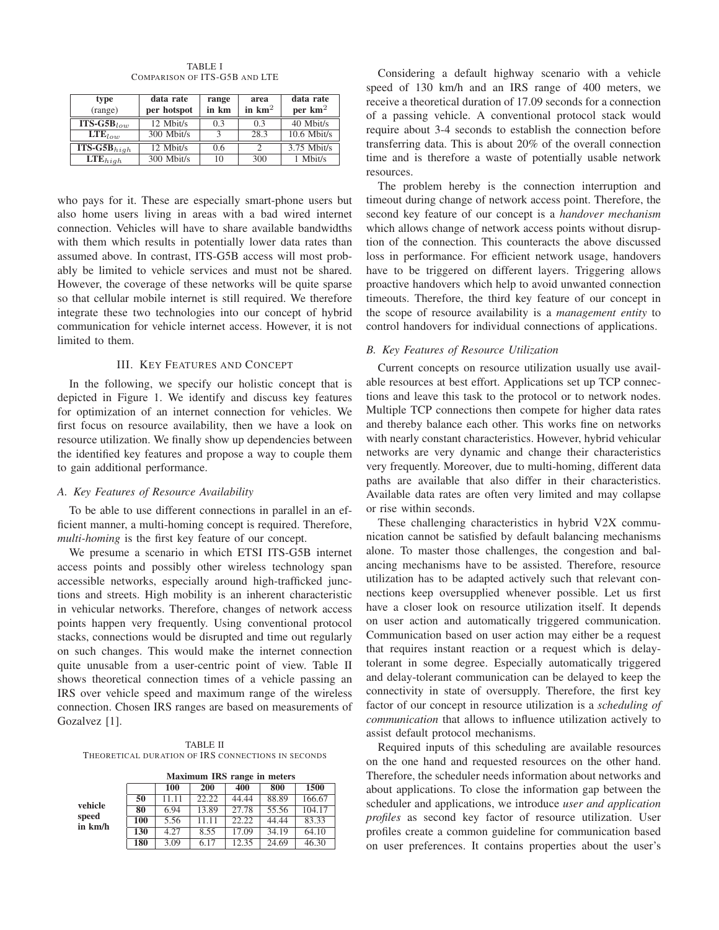| type<br>(range)                           | data rate<br>per hotspot | range<br>in km | area<br>in $km2$ | data rate<br>per $km2$ |
|-------------------------------------------|--------------------------|----------------|------------------|------------------------|
| $\overline{\text{ITS-GSB}}_{low}$         | 12 Mbit/s                | 0.3            | 0.3              | 40 Mbit/s              |
| $LTE_{low}$                               | 300 Mbit/s               |                | 28.3             | $10.6$ Mbit/s          |
| $\overline{\text{ITS-}\text{G5B}}_{high}$ | 12 Mbit/s                | 0.6            | 2                | $3.75$ Mbit/s          |
| $\text{LTE}_{high}$                       | 300 Mbit/s               | 10             | 300              | 1 Mbit/s               |

TABLE I COMPARISON OF ITS-G5B AND LTE

who pays for it. These are especially smart-phone users but also home users living in areas with a bad wired internet connection. Vehicles will have to share available bandwidths with them which results in potentially lower data rates than assumed above. In contrast, ITS-G5B access will most probably be limited to vehicle services and must not be shared. However, the coverage of these networks will be quite sparse so that cellular mobile internet is still required. We therefore integrate these two technologies into our concept of hybrid communication for vehicle internet access. However, it is not limited to them.

# III. KEY FEATURES AND CONCEPT

In the following, we specify our holistic concept that is depicted in Figure 1. We identify and discuss key features for optimization of an internet connection for vehicles. We first focus on resource availability, then we have a look on resource utilization. We finally show up dependencies between the identified key features and propose a way to couple them to gain additional performance.

# *A. Key Features of Resource Availability*

To be able to use different connections in parallel in an efficient manner, a multi-homing concept is required. Therefore, *multi-homing* is the first key feature of our concept.

We presume a scenario in which ETSI ITS-G5B internet access points and possibly other wireless technology span accessible networks, especially around high-trafficked junctions and streets. High mobility is an inherent characteristic in vehicular networks. Therefore, changes of network access points happen very frequently. Using conventional protocol stacks, connections would be disrupted and time out regularly on such changes. This would make the internet connection quite unusable from a user-centric point of view. Table II shows theoretical connection times of a vehicle passing an IRS over vehicle speed and maximum range of the wireless connection. Chosen IRS ranges are based on measurements of Gozalvez [1].

TABLE II THEORETICAL DURATION OF IRS CONNECTIONS IN SECONDS

|                             | Maximum IRS range in meters |            |       |       |       |        |  |  |
|-----------------------------|-----------------------------|------------|-------|-------|-------|--------|--|--|
|                             |                             | <b>100</b> | 200   | 400   | 800   | 1500   |  |  |
| vehicle<br>speed<br>in km/h | 50                          | 11.11      | 22.22 | 44.44 | 88.89 | 166.67 |  |  |
|                             | 80                          | 6.94       | 13.89 | 27.78 | 55.56 | 104.17 |  |  |
|                             | 100                         | 5.56       | 11.11 | 22.22 | 44.44 | 83.33  |  |  |
|                             | 130                         | 4.27       | 8.55  | 17.09 | 34.19 | 64.10  |  |  |
|                             | 180                         | 3.09       | 6.17  | 12.35 | 24.69 | 46.30  |  |  |

Considering a default highway scenario with a vehicle speed of 130 km/h and an IRS range of 400 meters, we receive a theoretical duration of 17.09 seconds for a connection of a passing vehicle. A conventional protocol stack would require about 3-4 seconds to establish the connection before transferring data. This is about 20% of the overall connection time and is therefore a waste of potentially usable network resources.

The problem hereby is the connection interruption and timeout during change of network access point. Therefore, the second key feature of our concept is a *handover mechanism* which allows change of network access points without disruption of the connection. This counteracts the above discussed loss in performance. For efficient network usage, handovers have to be triggered on different layers. Triggering allows proactive handovers which help to avoid unwanted connection timeouts. Therefore, the third key feature of our concept in the scope of resource availability is a *management entity* to control handovers for individual connections of applications.

# *B. Key Features of Resource Utilization*

Current concepts on resource utilization usually use available resources at best effort. Applications set up TCP connections and leave this task to the protocol or to network nodes. Multiple TCP connections then compete for higher data rates and thereby balance each other. This works fine on networks with nearly constant characteristics. However, hybrid vehicular networks are very dynamic and change their characteristics very frequently. Moreover, due to multi-homing, different data paths are available that also differ in their characteristics. Available data rates are often very limited and may collapse or rise within seconds.

These challenging characteristics in hybrid V2X communication cannot be satisfied by default balancing mechanisms alone. To master those challenges, the congestion and balancing mechanisms have to be assisted. Therefore, resource utilization has to be adapted actively such that relevant connections keep oversupplied whenever possible. Let us first have a closer look on resource utilization itself. It depends on user action and automatically triggered communication. Communication based on user action may either be a request that requires instant reaction or a request which is delaytolerant in some degree. Especially automatically triggered and delay-tolerant communication can be delayed to keep the connectivity in state of oversupply. Therefore, the first key factor of our concept in resource utilization is a *scheduling of communication* that allows to influence utilization actively to assist default protocol mechanisms.

Required inputs of this scheduling are available resources on the one hand and requested resources on the other hand. Therefore, the scheduler needs information about networks and about applications. To close the information gap between the scheduler and applications, we introduce *user and application profiles* as second key factor of resource utilization. User profiles create a common guideline for communication based on user preferences. It contains properties about the user's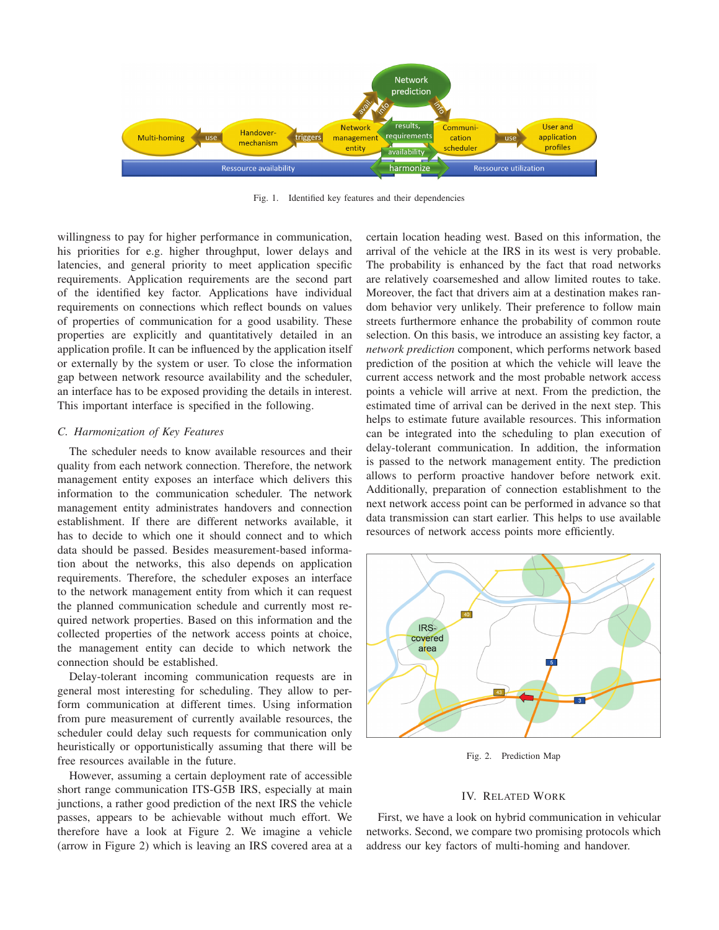

Fig. 1. Identified key features and their dependencies

willingness to pay for higher performance in communication, his priorities for e.g. higher throughput, lower delays and latencies, and general priority to meet application specific requirements. Application requirements are the second part of the identified key factor. Applications have individual requirements on connections which reflect bounds on values of properties of communication for a good usability. These properties are explicitly and quantitatively detailed in an application profile. It can be influenced by the application itself or externally by the system or user. To close the information gap between network resource availability and the scheduler, an interface has to be exposed providing the details in interest. This important interface is specified in the following.

# *C. Harmonization of Key Features*

The scheduler needs to know available resources and their quality from each network connection. Therefore, the network management entity exposes an interface which delivers this information to the communication scheduler. The network management entity administrates handovers and connection establishment. If there are different networks available, it has to decide to which one it should connect and to which data should be passed. Besides measurement-based information about the networks, this also depends on application requirements. Therefore, the scheduler exposes an interface to the network management entity from which it can request the planned communication schedule and currently most required network properties. Based on this information and the collected properties of the network access points at choice, the management entity can decide to which network the connection should be established.

Delay-tolerant incoming communication requests are in general most interesting for scheduling. They allow to perform communication at different times. Using information from pure measurement of currently available resources, the scheduler could delay such requests for communication only heuristically or opportunistically assuming that there will be free resources available in the future.

However, assuming a certain deployment rate of accessible short range communication ITS-G5B IRS, especially at main junctions, a rather good prediction of the next IRS the vehicle passes, appears to be achievable without much effort. We therefore have a look at Figure 2. We imagine a vehicle (arrow in Figure 2) which is leaving an IRS covered area at a certain location heading west. Based on this information, the arrival of the vehicle at the IRS in its west is very probable. The probability is enhanced by the fact that road networks are relatively coarsemeshed and allow limited routes to take. Moreover, the fact that drivers aim at a destination makes random behavior very unlikely. Their preference to follow main streets furthermore enhance the probability of common route selection. On this basis, we introduce an assisting key factor, a *network prediction* component, which performs network based prediction of the position at which the vehicle will leave the current access network and the most probable network access points a vehicle will arrive at next. From the prediction, the estimated time of arrival can be derived in the next step. This helps to estimate future available resources. This information can be integrated into the scheduling to plan execution of delay-tolerant communication. In addition, the information is passed to the network management entity. The prediction allows to perform proactive handover before network exit. Additionally, preparation of connection establishment to the next network access point can be performed in advance so that data transmission can start earlier. This helps to use available resources of network access points more efficiently.



Fig. 2. Prediction Map

#### IV. RELATED WORK

First, we have a look on hybrid communication in vehicular networks. Second, we compare two promising protocols which address our key factors of multi-homing and handover.